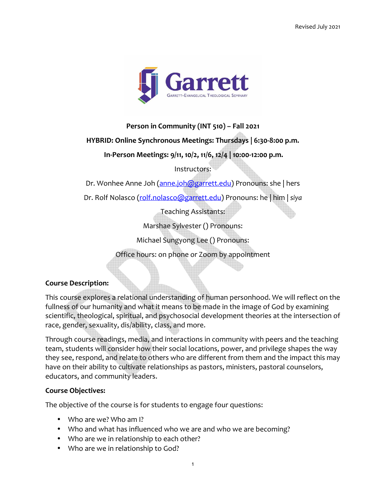

**Person in Community (INT 510) – Fall 2021** 

**HYBRID: Online Synchronous Meetings: Thursdays | 6:30-8:00 p.m.** 

 **In-Person Meetings: 9/11, 10/2, 11/6, 12/4 | 10:00-12:00 p.m.**

Instructors:

Dr. Wonhee Anne Joh (anne.joh@garrett.edu) Pronouns: she | hers

Dr. Rolf Nolasco (rolf.nolasco@garrett.edu) Pronouns: he | him | *siya*

Teaching Assistants:

Marshae Sylvester () Pronouns:

Michael Sungyong Lee () Pronouns:

Office hours: on phone or Zoom by appointment

### **Course Description:**

This course explores a relational understanding of human personhood. We will reflect on the fullness of our humanity and what it means to be made in the image of God by examining scientific, theological, spiritual, and psychosocial development theories at the intersection of race, gender, sexuality, dis/ability, class, and more.

Through course readings, media, and interactions in community with peers and the teaching team, students will consider how their social locations, power, and privilege shapes the way they see, respond, and relate to others who are different from them and the impact this may have on their ability to cultivate relationships as pastors, ministers, pastoral counselors, educators, and community leaders.

#### **Course Objectives:**

The objective of the course is for students to engage four questions:

- Who are we? Who am I?
- Who and what has influenced who we are and who we are becoming?
- Who are we in relationship to each other?
- Who are we in relationship to God?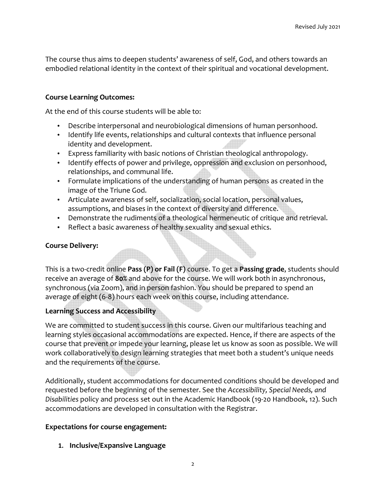The course thus aims to deepen students' awareness of self, God, and others towards an embodied relational identity in the context of their spiritual and vocational development.

### **Course Learning Outcomes:**

At the end of this course students will be able to:

- Describe interpersonal and neurobiological dimensions of human personhood.
- Identify life events, relationships and cultural contexts that influence personal identity and development.
- Express familiarity with basic notions of Christian theological anthropology.
- Identify effects of power and privilege, oppression and exclusion on personhood, relationships, and communal life.
- Formulate implications of the understanding of human persons as created in the image of the Triune God.
- Articulate awareness of self, socialization, social location, personal values, assumptions, and biases in the context of diversity and difference.
- Demonstrate the rudiments of a theological hermeneutic of critique and retrieval.
- Reflect a basic awareness of healthy sexuality and sexual ethics.

## **Course Delivery:**

This is a two-credit online **Pass (P) or Fail (F)** course. To get a **Passing grade**, students should receive an average of **80%** and above for the course. We will work both in asynchronous, synchronous (via Zoom), and in person fashion. You should be prepared to spend an average of eight (6-8) hours each week on this course, including attendance.

# **Learning Success and Accessibility**

We are committed to student success in this course. Given our multifarious teaching and learning styles occasional accommodations are expected. Hence, if there are aspects of the course that prevent or impede your learning, please let us know as soon as possible. We will work collaboratively to design learning strategies that meet both a student's unique needs and the requirements of the course.

Additionally, student accommodations for documented conditions should be developed and requested before the beginning of the semester. See the *Accessibility, Special Needs, and Disabilities* policy and process set out in the Academic Handbook (19-20 Handbook, 12). Such accommodations are developed in consultation with the Registrar.

### **Expectations for course engagement:**

**1. Inclusive/Expansive Language**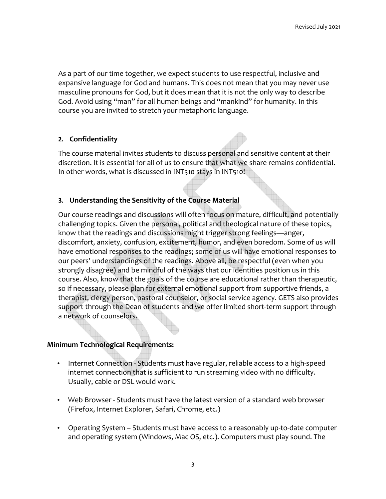As a part of our time together, we expect students to use respectful, inclusive and expansive language for God and humans. This does not mean that you may never use masculine pronouns for God, but it does mean that it is not the only way to describe God. Avoid using "man" for all human beings and "mankind" for humanity. In this course you are invited to stretch your metaphoric language.

### **2. Confidentiality**

The course material invites students to discuss personal and sensitive content at their discretion. It is essential for all of us to ensure that what we share remains confidential. In other words, what is discussed in INT510 stays in INT510!

## **3. Understanding the Sensitivity of the Course Material**

Our course readings and discussions will often focus on mature, difficult, and potentially challenging topics. Given the personal, political and theological nature of these topics, know that the readings and discussions might trigger strong feelings—anger, discomfort, anxiety, confusion, excitement, humor, and even boredom. Some of us will have emotional responses to the readings; some of us will have emotional responses to our peers' understandings of the readings. Above all, be respectful (even when you strongly disagree) and be mindful of the ways that our identities position us in this course. Also, know that the goals of the course are educational rather than therapeutic, so if necessary, please plan for external emotional support from supportive friends, a therapist, clergy person, pastoral counselor, or social service agency. GETS also provides support through the Dean of students and we offer limited short-term support through a network of counselors.

### **Minimum Technological Requirements:**

- Internet Connection Students must have regular, reliable access to a high-speed internet connection that is sufficient to run streaming video with no difficulty. Usually, cable or DSL would work.
- Web Browser Students must have the latest version of a standard web browser (Firefox, Internet Explorer, Safari, Chrome, etc.)
- Operating System Students must have access to a reasonably up-to-date computer and operating system (Windows, Mac OS, etc.). Computers must play sound. The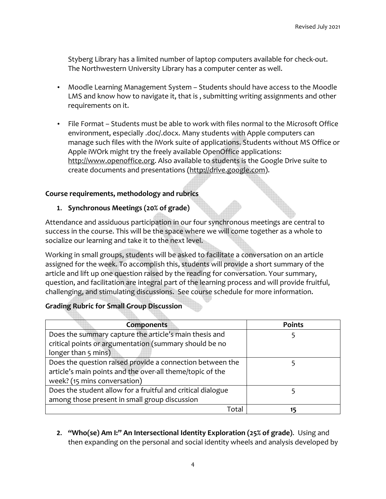Styberg Library has a limited number of laptop computers available for check-out. The Northwestern University Library has a computer center as well.

- Moodle Learning Management System Students should have access to the Moodle LMS and know how to navigate it, that is , submitting writing assignments and other requirements on it.
- File Format Students must be able to work with files normal to the Microsoft Office environment, especially .doc/.docx. Many students with Apple computers can manage such files with the iWork suite of applications. Students without MS Office or Apple iWOrk might try the freely available OpenOffice applications: http://www.openoffice.org. Also available to students is the Google Drive suite to create documents and presentations (http://drive.google.com).

## **Course requirements, methodology and rubrics**

## **1. Synchronous Meetings (20% of grade)**

Attendance and assiduous participation in our four synchronous meetings are central to success in the course. This will be the space where we will come together as a whole to socialize our learning and take it to the next level.

Working in small groups, students will be asked to facilitate a conversation on an article assigned for the week. To accomplish this, students will provide a short summary of the article and lift up one question raised by the reading for conversation. Your summary, question, and facilitation are integral part of the learning process and will provide fruitful, challenging, and stimulating discussions. See course schedule for more information.

### **Grading Rubric for Small Group Discussion**

| Components                                                  | <b>Points</b> |
|-------------------------------------------------------------|---------------|
| Does the summary capture the article's main thesis and      |               |
| critical points or argumentation (summary should be no      |               |
| longer than 5 mins)                                         |               |
| Does the question raised provide a connection between the   |               |
| article's main points and the over-all theme/topic of the   |               |
| week? (15 mins conversation)                                |               |
| Does the student allow for a fruitful and critical dialogue |               |
| among those present in small group discussion               |               |
| Tota                                                        |               |

**2. "Who(se) Am I:" An Intersectional Identity Exploration (25% of grade)**. Using and then expanding on the personal and social identity wheels and analysis developed by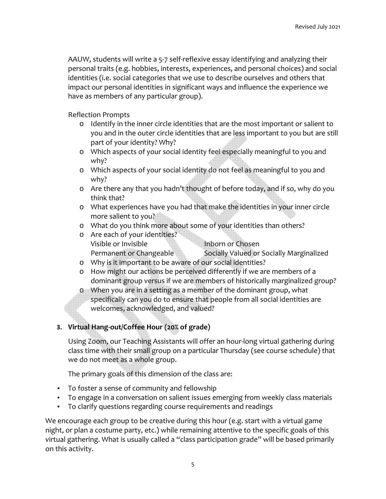AAUW, students will write a 5-7 self-reflexive essay identifying and analyzing their personal traits (e.g. hobbies, interests, experiences, and personal choices) and social identities (i.e. social categories that we use to describe ourselves and others that impact our personal identities in significant ways and influence the experience we have as members of any particular group).

Reflection Prompts

- o Identify in the inner circle identities that are the most important or salient to you and in the outer circle identities that are less important to you but are still part of your identity? Why?
- o Which aspects of your social identity feel especially meaningful to you and why?
- o Which aspects of your social identity do not feel as meaningful to you and why?
- o Are there any that you hadn't thought of before today, and if so, why do you think that?
- o What experiences have you had that make the identities in your inner circle more salient to you?
- o What do you think more about some of your identities than others?
- o Are each of your identities? Visible or Invisible **Indian Chosen** Permanent or Changeable Socially Valued or Socially Marginalized
- o Why is it important to be aware of our social identities?
- o How might our actions be perceived differently if we are members of a dominant group versus if we are members of historically marginalized group?
- o When you are in a setting as a member of the dominant group, what specifically can you do to ensure that people from all social identities are welcomes, acknowledged, and valued?

# **3. Virtual Hang-out/Coffee Hour (20% of grade)**

Using Zoom, our Teaching Assistants will offer an hour-long virtual gathering during class time with their small group on a particular Thursday (see course schedule) that we do not meet as a whole group.

The primary goals of this dimension of the class are:

- To foster a sense of community and fellowship
- To engage in a conversation on salient issues emerging from weekly class materials
- To clarify questions regarding course requirements and readings

We encourage each group to be creative during this hour (e.g. start with a virtual game night, or plan a costume party, etc.) while remaining attentive to the specific goals of this virtual gathering. What is usually called a "class participation grade" will be based primarily on this activity.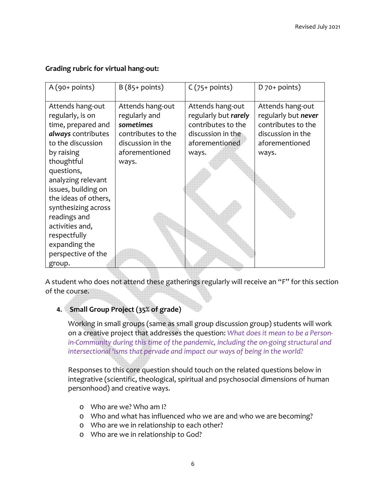### **Grading rubric for virtual hang-out:**

| $A(90+points)$       | $B(85+points)$     | $C(75+points)$       | $D$ 70+ points)     |
|----------------------|--------------------|----------------------|---------------------|
| Attends hang-out     | Attends hang-out   | Attends hang-out     | Attends hang-out    |
| regularly, is on     | regularly and      | regularly but rarely | regularly but never |
| time, prepared and   | sometimes          | contributes to the   | contributes to the  |
| always contributes   | contributes to the | discussion in the    | discussion in the   |
| to the discussion    | discussion in the  | aforementioned       | aforementioned      |
| by raising           | aforementioned     | ways.                | ways.               |
| thoughtful           | ways.              |                      |                     |
| questions,           |                    |                      |                     |
| analyzing relevant   |                    |                      |                     |
| issues, building on  |                    |                      |                     |
| the ideas of others, |                    |                      |                     |
| synthesizing across  |                    |                      |                     |
| readings and         |                    |                      |                     |
| activities and,      |                    |                      |                     |
| respectfully         |                    |                      |                     |
| expanding the        |                    |                      |                     |
| perspective of the   |                    |                      |                     |
| group.               |                    |                      |                     |

A student who does not attend these gatherings regularly will receive an "F" for this section of the course.

# **4. Small Group Project (35% of grade)**

Working in small groups (same as small group discussion group) students will work on a creative project that addresses the question: *What does it mean to be a Personin-Community during this time of the pandemic, including the on-going structural and intersectional 'isms that pervade and impact our ways of being in the world?*

Responses to this core question should touch on the related questions below in integrative (scientific, theological, spiritual and psychosocial dimensions of human personhood) and creative ways.

- o Who are we? Who am I?
- o Who and what has influenced who we are and who we are becoming?
- o Who are we in relationship to each other?
- o Who are we in relationship to God?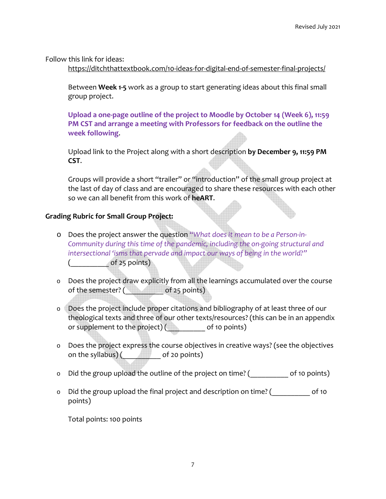Follow this link for ideas:

https://ditchthattextbook.com/10-ideas-for-digital-end-of-semester-final-projects/

Between **Week 1-5** work as a group to start generating ideas about this final small group project.

**Upload a one-page outline of the project to Moodle by October 14 (Week 6), 11:59 PM CST and arrange a meeting with Professors for feedback on the outline the week following**.

Upload link to the Project along with a short description **by December 9, 11:59 PM CST**.

Groups will provide a short "trailer" or "introduction" of the small group project at the last of day of class and are encouraged to share these resources with each other so we can all benefit from this work of **heART**.

# **Grading Rubric for Small Group Project:**

- o Does the project answer the question "*What does it mean to be a Person-in-Community during this time of the pandemic, including the on-going structural and intersectional 'isms that pervade and impact our ways of being in the world?"*  $\qquad \qquad \text{of 25 points)}$
- o Does the project draw explicitly from all the learnings accumulated over the course of the semester? ( \_\_\_\_\_\_\_\_\_\_\_ of 25 points)
- o Does the project include proper citations and bibliography of at least three of our theological texts and three of our other texts/resources? (this can be in an appendix or supplement to the project) ( \_\_\_\_\_\_\_\_\_\_\_ of 10 points)
- o Does the project express the course objectives in creative ways? (see the objectives on the syllabus) (  $\qquad \qquad$  of 20 points)
- o Did the group upload the outline of the project on time? (  $\qquad \qquad$  of 10 points)
- o Did the group upload the final project and description on time? (  $\qquad \qquad$  of 10 points)

Total points: 100 points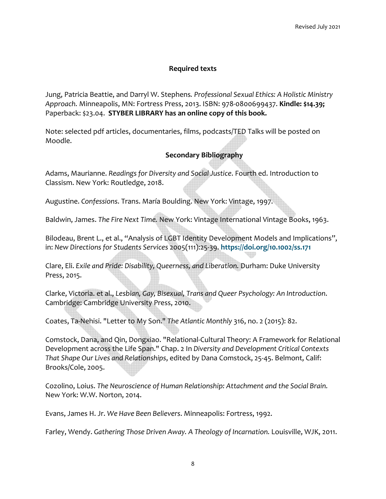### **Required texts**

Jung, Patricia Beattie, and Darryl W. Stephens*. Professional Sexual Ethics: A Holistic Ministry Approach.* Minneapolis, MN: Fortress Press, 2013. ISBN: 978-0800699437. **Kindle: \$14.39;** Paperback: \$23.04. **STYBER LIBRARY has an online copy of this book.**

Note: selected pdf articles, documentaries, films, podcasts/TED Talks will be posted on Moodle.

## **Secondary Bibliography**

Adams, Maurianne. *Readings for Diversity and Social Justice*. Fourth ed. Introduction to Classism. New York: Routledge, 2018.

Augustine. *Confessions*. Trans. María Boulding. New York: Vintage, 1997.

Baldwin, James. *The Fire Next Time.* New York: Vintage International Vintage Books, 1963.

Bilodeau, Brent L., et al., "Analysis of LGBT Identity Development Models and Implications", in: *New Directions for Students Services* 2005(111):25-39. **https://doi.org/10.1002/ss.171**

Clare, Eli. *Exile and Pride: Disability, Queerness, and Liberation.* Durham: Duke University Press, 2015.

Clarke, Victoria. et al., *Lesbian, Gay, Bisexual, Trans and Queer Psychology: An Introduction*. Cambridge: Cambridge University Press, 2010.

Coates, Ta-Nehisi. "Letter to My Son." *The Atlantic Monthly* 316, no. 2 (2015): 82.

Comstock, Dana, and Qin, Dongxiao. "Relational-Cultural Theory: A Framework for Relational Development across the Life Span." Chap. 2 In *Diversity and Development Critical Contexts That Shape Our Lives and Relationships*, edited by Dana Comstock, 25-45. Belmont, Calif: Brooks/Cole, 2005.

Cozolino, Loius. *The Neuroscience of Human Relationship: Attachment and the Social Brain.* New York: W.W. Norton, 2014.

Evans, James H. Jr. *We Have Been Believers*. Minneapolis: Fortress, 1992.

Farley, Wendy. *Gathering Those Driven Away. A Theology of Incarnation.* Louisville, WJK, 2011.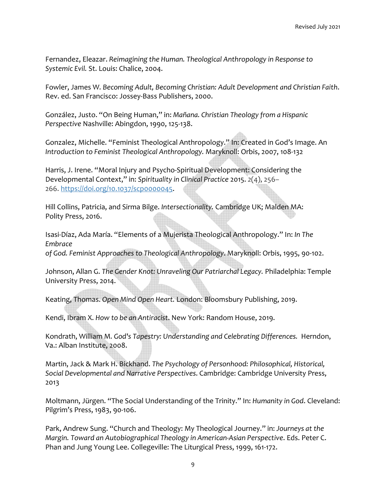Fernandez, Eleazar. *Reimagining the Human. Theological Anthropology in Response to Systemic Evil.* St. Louis: Chalice, 2004.

Fowler, James W*. Becoming Adult, Becoming Christian: Adult Development and Christian Faith*. Rev. ed. San Francisco: Jossey-Bass Publishers, 2000.

González, Justo. "On Being Human," in: *Mañana. Christian Theology from a Hispanic Perspective* Nashville: Abingdon, 1990, 125-138.

Gonzalez, Michelle. "Feminist Theological Anthropology." In: Created in God's Image. An *Introduction to Feminist Theological Anthropology.* Maryknoll: Orbis, 2007, 108-132

Harris, J. Irene. "Moral Injury and Psycho-Spiritual Development: Considering the Developmental Context," in: *Spirituality in Clinical Practice* 2015. *2*(4), 256– 266. https://doi.org/10.1037/scp0000045.

Hill Collins, Patricia, and Sirma Bilge. *Intersectionality.* Cambridge UK; Malden MA: Polity Press, 2016.

Isasi-Díaz, Ada María. "Elements of a Mujerista Theological Anthropology." In: *In The Embrace* 

*of God. Feminist Approaches to Theological Anthropology*. Maryknoll: Orbis, 1995, 90-102.

Johnson, Allan G. *The Gender Knot: Unraveling Our Patriarchal Legacy.* Philadelphia: Temple University Press, 2014.

Keating, Thomas. *Open Mind Open Heart.* London: Bloomsbury Publishing, 2019.

Kendi, Ibram X. *How to be an Antiracist*. New York: Random House, 2019.

Kondrath, William M*. God's Tapestry: Understanding and Celebrating Differences.* Herndon, Va.: Alban Institute, 2008.

Martin, Jack & Mark H. Bickhand. *The Psychology of Personhood: Philosophical, Historical, Social Developmental and Narrative Perspectives*. Cambridge: Cambridge University Press, 2013

Moltmann, Jürgen. "The Social Understanding of the Trinity." In: *Humanity in God*. Cleveland: Pilgrim's Press, 1983, 90-106.

Park, Andrew Sung. "Church and Theology: My Theological Journey." in: *Journeys at the Margin. Toward an Autobiographical Theology in American-Asian Perspective*. Eds. Peter C. Phan and Jung Young Lee. Collegeville: The Liturgical Press, 1999, 161-172.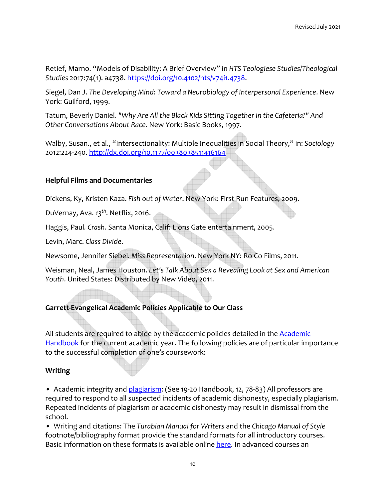Retief, Marno. "Models of Disability: A Brief Overview" in *HTS Teologiese Studies/Theological Studies* 2017:74(1). a4738. https://doi.org/10.4102/hts/v74i1.4738.

Siegel, Dan J. *The Developing Mind: Toward a Neurobiology of Interpersonal Experience*. New York: Guilford, 1999.

Tatum, Beverly Daniel. *"Why Are All the Black Kids Sitting Together in the Cafeteria?" And Other Conversations About Race*. New York: Basic Books, 1997.

Walby, Susan., et al., "Intersectionality: Multiple Inequalities in Social Theory," in: *Sociology*  2012:224-240. http://dx.doi.org/10.1177/0038038511416164

### **Helpful Films and Documentaries**

Dickens, Ky, Kristen Kaza. *Fish out of Water*. New York: First Run Features, 2009.

DuVernay, Ava. *13th*. Netflix, 2016.

Haggis, Paul*. Crash*. Santa Monica, Calif: Lions Gate entertainment, 2005.

Levin, Marc. *Class Divide*.

Newsome, Jennifer Siebel*. Miss Representation*. New York NY: Ro Co Films, 2011.

Weisman, Neal, James Houston. *Let's Talk About Sex a Revealing Look at Sex and American Youth*. United States: Distributed by New Video, 2011.

# **Garrett-Evangelical Academic Policies Applicable to Our Class**

All students are required to abide by the academic policies detailed in the Academic Handbook for the current academic year. The following policies are of particular importance to the successful completion of one's coursework:

### **Writing**

• Academic integrity and plagiarism: (See 19-20 Handbook, 12, 78-83) All professors are required to respond to all suspected incidents of academic dishonesty, especially plagiarism. Repeated incidents of plagiarism or academic dishonesty may result in dismissal from the school.

• Writing and citations: The *Turabian Manual for Writers* and the *Chicago Manual of Style* footnote/bibliography format provide the standard formats for all introductory courses. Basic information on these formats is available online here. In advanced courses an